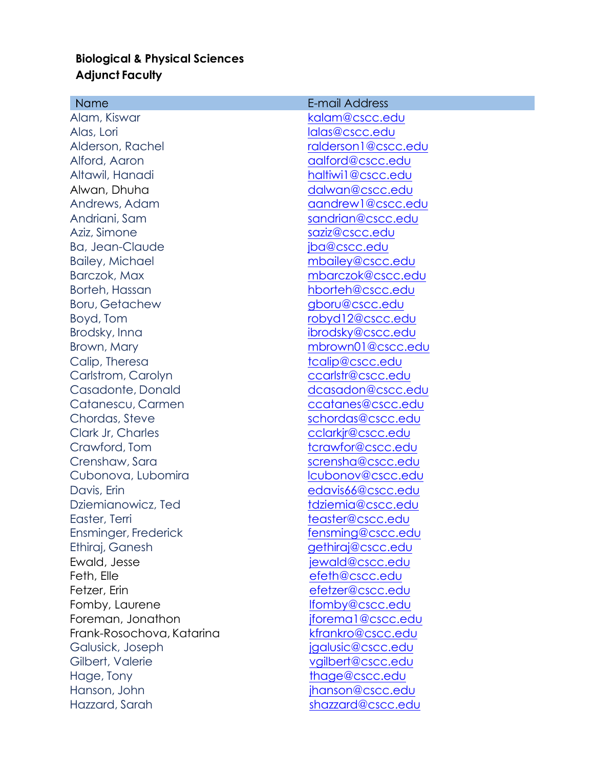## **Biological & Physical Sciences Adjunct Faculty**

| <b>Name</b>               | E-mail Address      |
|---------------------------|---------------------|
| Alam, Kiswar              | kalam@cscc.edu      |
| Alas, Lori                | lalas@cscc.edu      |
| Alderson, Rachel          | ralderson1@cscc.edu |
| Alford, Aaron             | aalford@cscc.edu    |
| Altawil, Hanadi           | haltiwi1@cscc.edu   |
| Alwan, Dhuha              | dalwan@cscc.edu     |
| Andrews, Adam             | aandrew1@cscc.edu   |
| Andriani, Sam             | sandrian@cscc.edu   |
| Aziz, Simone              | saziz@cscc.edu      |
| Ba, Jean-Claude           | jba@cscc.edu        |
| <b>Bailey, Michael</b>    | mbailey@cscc.edu    |
| Barczok, Max              | mbarczok@cscc.edu   |
| Borteh, Hassan            | hborteh@cscc.edu    |
| <b>Boru, Getachew</b>     | gboru@cscc.edu      |
| Boyd, Tom                 | robyd12@cscc.edu    |
| Brodsky, Inna             | ibrodsky@cscc.edu   |
| Brown, Mary               | mbrown01@cscc.edu   |
| Calip, Theresa            | tcalip@cscc.edu     |
| Carlstrom, Carolyn        | ccarlstr@cscc.edu   |
| Casadonte, Donald         | dcasadon@cscc.edu   |
| Catanescu, Carmen         | ccatanes@cscc.edu   |
| Chordas, Steve            | schordas@cscc.edu   |
| Clark Jr, Charles         | cclarkjr@cscc.edu   |
| Crawford, Tom             | tcrawfor@cscc.edu   |
| Crenshaw, Sara            | scrensha@cscc.edu   |
| Cubonova, Lubomira        | lcubonov@cscc.edu   |
| Davis, Erin               | edavis66@cscc.edu   |
| Dziemianowicz, Ted        | tdziemia@cscc.edu   |
| Easter, Terri             | teaster@cscc.edu    |
| Ensminger, Frederick      | fensming@cscc.edu   |
| Ethiraj, Ganesh           | gethiraj@cscc.edu   |
| Ewald, Jesse              | jewald@cscc.edu     |
| Feth, Elle                | efeth@cscc.edu      |
| Fetzer, Erin              | efetzer@cscc.edu    |
| Fomby, Laurene            | lfomby@cscc.edu     |
| Foreman, Jonathon         | jforema1@cscc.edu   |
| Frank-Rosochova, Katarina | kfrankro@cscc.edu   |
| Galusick, Joseph          | jgalusic@cscc.edu   |
| Gilbert, Valerie          | vgilbert@cscc.edu   |
| Hage, Tony                | thage@cscc.edu      |
| Hanson, John              | jhanson@cscc.edu    |
| Hazzard, Sarah            | shazzard@cscc.edu   |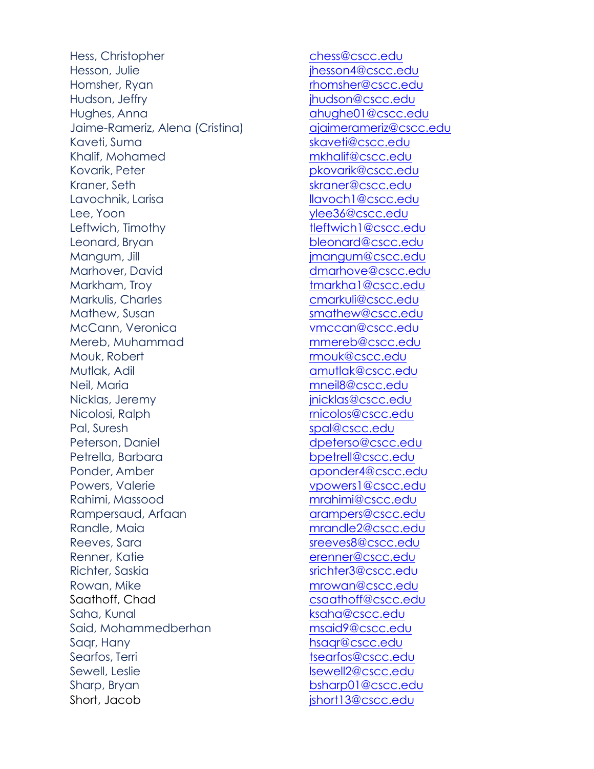Hess, Christopher chess@cscc.edu Hesson, Julie intervention in the son4@cscc.edu Homsher, Ryan rhomsher@cscc.edu Hudson, Jeffry **ihudson@cscc.edu** Hughes, Anna ahughe01@cscc.edu Jaime-Rameriz, Alena (Cristina) ajaimerameriz@cscc.edu Kaveti, Suma skaveti@cscc.edu Khalif, Mohamed mkhalif@cscc.edu Kovarik, Peter pkovarik@cscc.edu Kraner, Seth skraner@cscc.edu Lavochnik, Larisa land and the llavoch1@cscc.edu Lee, Yoon ylee36@cscc.edu Leftwich, Timothy tleftwich1@cscc.edu Leonard, Bryan bleonard@cscc.edu Mangum, Jill jmangum@cscc.edu Marhover, David dmarhove@cscc.edu Markham, Troy the Contract of the threatenedure through the threatenedure through the threatenedure through the threatenedure through the threatenedure through the threatenedure through the threatenedure through the threat Markulis, Charles **Carlos** cmarkuli@cscc.edu Mathew, Susan smathew@cscc.edu McCann, Veronica vmccan@cscc.edu Mereb, Muhammad mmereb@cscc.edu Mouk, Robert **rmouk@cscc.edu** Mutlak, Adil amutlak@cscc.edu Neil, Maria mneil8@cscc.edu Nicklas, Jeremy inicklas@cscc.edu Nicolosi, Ralph rnicolos@cscc.edu Pal, Suresh spal@cscc.edu Peterson, Daniel and a control deterso@cscc.edu Petrella, Barbara boottell@cscc.edu Ponder, Amber and aponder4@cscc.edu Powers, Valerie vpowers1@cscc.edu Rahimi, Massood mrahimi@cscc.edu Rampersaud, Arfaan arampers@cscc.edu Randle, Maia mrandle2@cscc.edu Reeves, Sara streeves8@cscc.edu Renner, Katie erenner@cscc.edu Richter, Saskia strichtersame strichter3@cscc.edu Rowan, Mike mrowan@cscc.edu Saathoff, Chad csaathoff@cscc.edu Saha, Kunal ksaha@cscc.edu Said, Mohammedberhan msaid9@cscc.edu Saar, Hany https://www.assample.org/www.assample.org/www.assample.org/www.assample.org/www.assample.org/www.assample.org/www.assample.org/www.assample.org/www.assample.org/www.assample.org/www.assample.org/www.assample.org Searfos, Terri tsearfos@cscc.edu Sewell, Leslie lsewell2@cscc.edu Sharp, Bryan bsharp01@cscc.edu Short, Jacob jshort13@cscc.edu